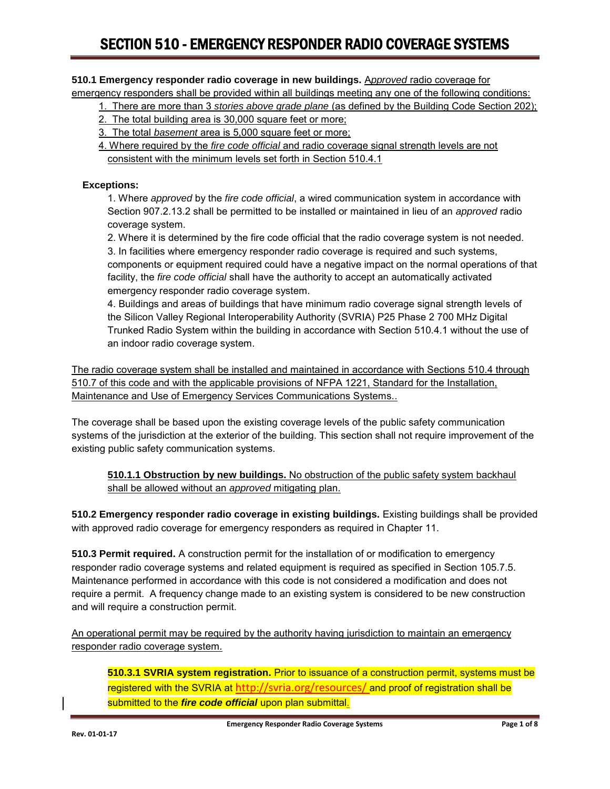#### **510.1 Emergency responder radio coverage in new buildings.** A*pproved* radio coverage for emergency responders shall be provided within all buildings meeting any one of the following conditions:

- 1. There are more than 3 *stories above grade plane* (as defined by the Building Code Section 202);
- 2. The total building area is 30,000 square feet or more;
- 3. The total *basement* area is 5,000 square feet or more;
- 4. Where required by the *fire code official* and radio coverage signal strength levels are not consistent with the minimum levels set forth in Section 510.4.1

#### **Exceptions:**

1. Where *approved* by the *fire code official*, a wired communication system in accordance with Section 907.2.13.2 shall be permitted to be installed or maintained in lieu of an *approved* radio coverage system.

2. Where it is determined by the fire code official that the radio coverage system is not needed. 3. In facilities where emergency responder radio coverage is required and such systems, components or equipment required could have a negative impact on the normal operations of that facility, the *fire code official* shall have the authority to accept an automatically activated emergency responder radio coverage system.

4. Buildings and areas of buildings that have minimum radio coverage signal strength levels of the Silicon Valley Regional Interoperability Authority (SVRIA) P25 Phase 2 700 MHz Digital Trunked Radio System within the building in accordance with Section 510.4.1 without the use of an indoor radio coverage system.

The radio coverage system shall be installed and maintained in accordance with Sections 510.4 through 510.7 of this code and with the applicable provisions of NFPA 1221, Standard for the Installation, Maintenance and Use of Emergency Services Communications Systems..

The coverage shall be based upon the existing coverage levels of the public safety communication systems of the jurisdiction at the exterior of the building. This section shall not require improvement of the existing public safety communication systems.

**510.1.1 Obstruction by new buildings.** No obstruction of the public safety system backhaul shall be allowed without an *approved* mitigating plan.

**510.2 Emergency responder radio coverage in existing buildings.** Existing buildings shall be provided with approved radio coverage for emergency responders as required in Chapter 11.

**510.3 Permit required.** A construction permit for the installation of or modification to emergency responder radio coverage systems and related equipment is required as specified in Section 105.7.5. Maintenance performed in accordance with this code is not considered a modification and does not require a permit. A frequency change made to an existing system is considered to be new construction and will require a construction permit.

An operational permit may be required by the authority having jurisdiction to maintain an emergency responder radio coverage system.

**510.3.1 SVRIA system registration.** Prior to issuance of a construction permit, systems must be registered with the SVRIA at <http://svria.org/resources/> and proof of registration shall be submitted to the *fire code official* upon plan submittal.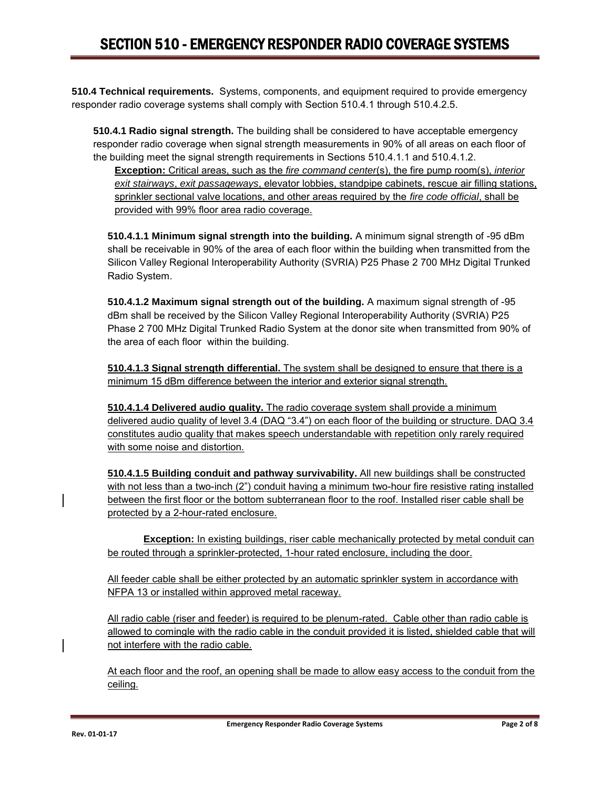**510.4 Technical requirements.** Systems, components, and equipment required to provide emergency responder radio coverage systems shall comply with Section 510.4.1 through 510.4.2.5.

**510.4.1 Radio signal strength.** The building shall be considered to have acceptable emergency responder radio coverage when signal strength measurements in 90% of all areas on each floor of the building meet the signal strength requirements in Sections 510.4.1.1 and 510.4.1.2.

**Exception:** Critical areas, such as the *fire command center*(s), the fire pump room(s), *interior exit stairways*, *exit passageways*, elevator lobbies, standpipe cabinets, rescue air filling stations, sprinkler sectional valve locations, and other areas required by the *fire code official*, shall be provided with 99% floor area radio coverage.

**510.4.1.1 Minimum signal strength into the building.** A minimum signal strength of -95 dBm shall be receivable in 90% of the area of each floor within the building when transmitted from the Silicon Valley Regional Interoperability Authority (SVRIA) P25 Phase 2 700 MHz Digital Trunked Radio System.

**510.4.1.2 Maximum signal strength out of the building.** A maximum signal strength of -95 dBm shall be received by the Silicon Valley Regional Interoperability Authority (SVRIA) P25 Phase 2 700 MHz Digital Trunked Radio System at the donor site when transmitted from 90% of the area of each floor within the building.

**510.4.1.3 Signal strength differential.** The system shall be designed to ensure that there is a minimum 15 dBm difference between the interior and exterior signal strength.

**510.4.1.4 Delivered audio quality.** The radio coverage system shall provide a minimum delivered audio quality of level 3.4 (DAQ "3.4") on each floor of the building or structure. DAQ 3.4 constitutes audio quality that makes speech understandable with repetition only rarely required with some noise and distortion.

**510.4.1.5 Building conduit and pathway survivability.** All new buildings shall be constructed with not less than a two-inch (2") conduit having a minimum two-hour fire resistive rating installed between the first floor or the bottom subterranean floor to the roof. Installed riser cable shall be protected by a 2-hour-rated enclosure.

**Exception:** In existing buildings, riser cable mechanically protected by metal conduit can be routed through a sprinkler-protected, 1-hour rated enclosure, including the door.

All feeder cable shall be either protected by an automatic sprinkler system in accordance with NFPA 13 or installed within approved metal raceway.

All radio cable (riser and feeder) is required to be plenum-rated. Cable other than radio cable is allowed to comingle with the radio cable in the conduit provided it is listed, shielded cable that will not interfere with the radio cable.

At each floor and the roof, an opening shall be made to allow easy access to the conduit from the ceiling.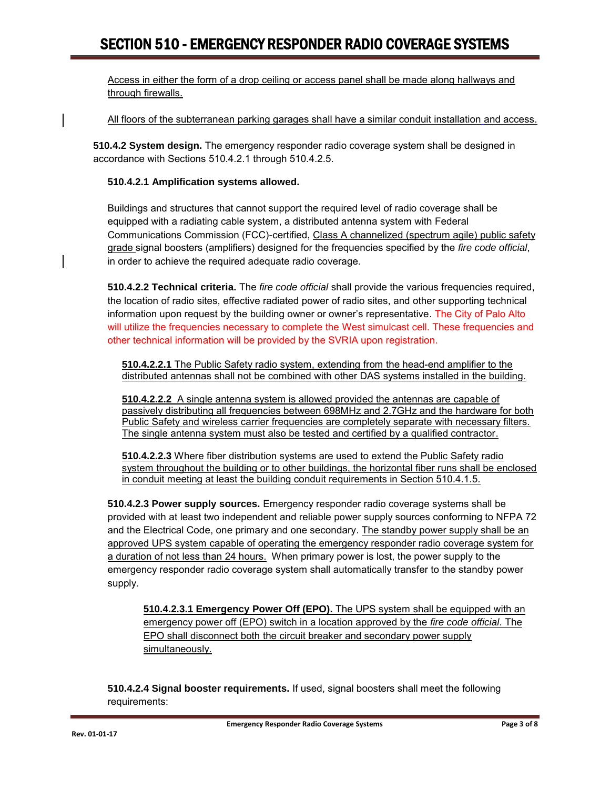Access in either the form of a drop ceiling or access panel shall be made along hallways and through firewalls.

All floors of the subterranean parking garages shall have a similar conduit installation and access.

**510.4.2 System design.** The emergency responder radio coverage system shall be designed in accordance with Sections 510.4.2.1 through 510.4.2.5.

#### **510.4.2.1 Amplification systems allowed.**

Buildings and structures that cannot support the required level of radio coverage shall be equipped with a radiating cable system, a distributed antenna system with Federal Communications Commission (FCC)-certified, Class A channelized (spectrum agile) public safety grade signal boosters (amplifiers) designed for the frequencies specified by the *fire code official*, in order to achieve the required adequate radio coverage.

**510.4.2.2 Technical criteria.** The *fire code official* shall provide the various frequencies required, the location of radio sites, effective radiated power of radio sites, and other supporting technical information upon request by the building owner or owner's representative. The City of Palo Alto will utilize the frequencies necessary to complete the West simulcast cell. These frequencies and other technical information will be provided by the SVRIA upon registration.

**510.4.2.2.1** The Public Safety radio system, extending from the head-end amplifier to the distributed antennas shall not be combined with other DAS systems installed in the building.

**510.4.2.2.2** A single antenna system is allowed provided the antennas are capable of passively distributing all frequencies between 698MHz and 2.7GHz and the hardware for both Public Safety and wireless carrier frequencies are completely separate with necessary filters. The single antenna system must also be tested and certified by a qualified contractor.

**510.4.2.2.3** Where fiber distribution systems are used to extend the Public Safety radio system throughout the building or to other buildings, the horizontal fiber runs shall be enclosed in conduit meeting at least the building conduit requirements in Section 510.4.1.5.

**510.4.2.3 Power supply sources.** Emergency responder radio coverage systems shall be provided with at least two independent and reliable power supply sources conforming to NFPA 72 and the Electrical Code, one primary and one secondary. The standby power supply shall be an approved UPS system capable of operating the emergency responder radio coverage system for a duration of not less than 24 hours. When primary power is lost, the power supply to the emergency responder radio coverage system shall automatically transfer to the standby power supply.

**510.4.2.3.1 Emergency Power Off (EPO).** The UPS system shall be equipped with an emergency power off (EPO) switch in a location approved by the *fire code official*. The EPO shall disconnect both the circuit breaker and secondary power supply simultaneously.

**510.4.2.4 Signal booster requirements.** If used, signal boosters shall meet the following requirements: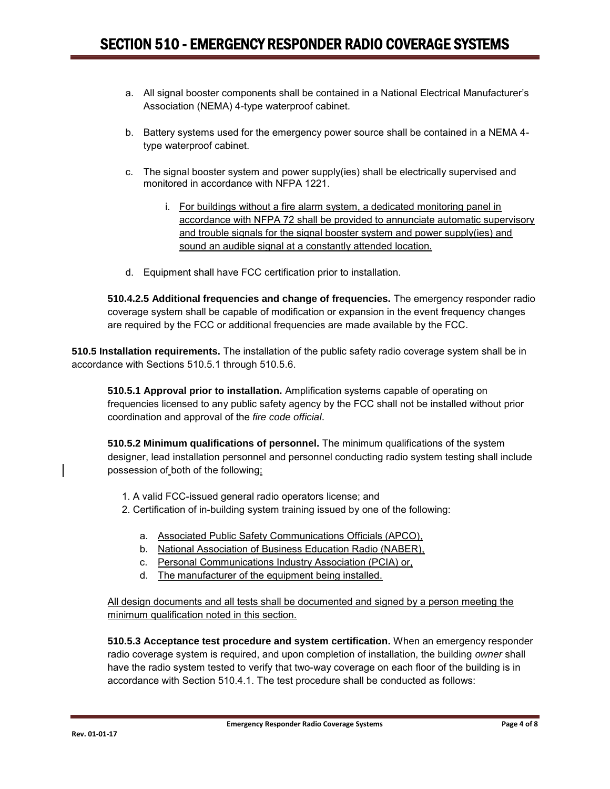- a. All signal booster components shall be contained in a National Electrical Manufacturer's Association (NEMA) 4-type waterproof cabinet.
- b. Battery systems used for the emergency power source shall be contained in a NEMA 4 type waterproof cabinet.
- c. The signal booster system and power supply(ies) shall be electrically supervised and monitored in accordance with NFPA 1221.
	- i. For buildings without a fire alarm system, a dedicated monitoring panel in accordance with NFPA 72 shall be provided to annunciate automatic supervisory and trouble signals for the signal booster system and power supply(ies) and sound an audible signal at a constantly attended location.
- d. Equipment shall have FCC certification prior to installation.

**510.4.2.5 Additional frequencies and change of frequencies.** The emergency responder radio coverage system shall be capable of modification or expansion in the event frequency changes are required by the FCC or additional frequencies are made available by the FCC.

**510.5 Installation requirements.** The installation of the public safety radio coverage system shall be in accordance with Sections 510.5.1 through 510.5.6.

**510.5.1 Approval prior to installation.** Amplification systems capable of operating on frequencies licensed to any public safety agency by the FCC shall not be installed without prior coordination and approval of the *fire code official*.

**510.5.2 Minimum qualifications of personnel.** The minimum qualifications of the system designer, lead installation personnel and personnel conducting radio system testing shall include possession of both of the following:

- 1. A valid FCC-issued general radio operators license; and
- 2. Certification of in-building system training issued by one of the following:
	- a. Associated Public Safety Communications Officials (APCO),
	- b. National Association of Business Education Radio (NABER),
	- c. Personal Communications Industry Association (PCIA) or,
	- d. The manufacturer of the equipment being installed.

All design documents and all tests shall be documented and signed by a person meeting the minimum qualification noted in this section.

**510.5.3 Acceptance test procedure and system certification.** When an emergency responder radio coverage system is required, and upon completion of installation, the building *owner* shall have the radio system tested to verify that two-way coverage on each floor of the building is in accordance with Section 510.4.1. The test procedure shall be conducted as follows: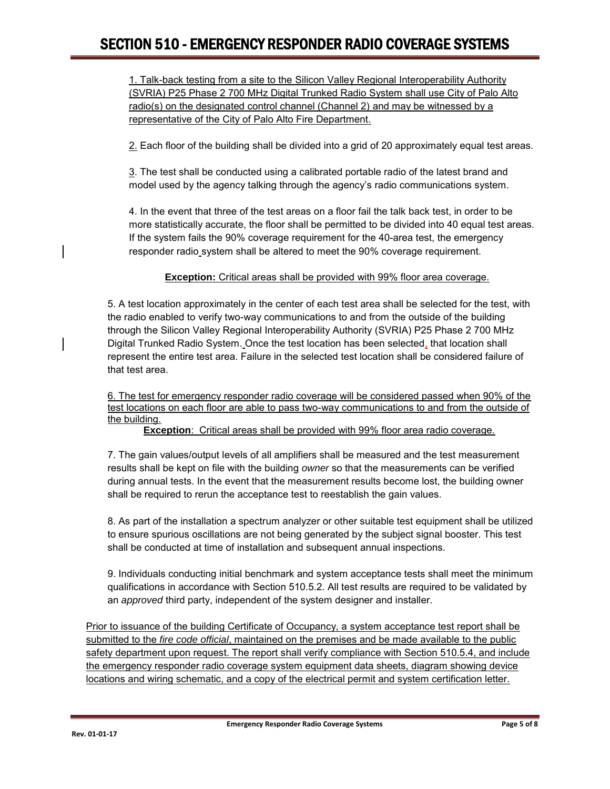1. Talk-back testing from a site to the Silicon Valley Regional Interoperability Authority (SVRIA) P25 Phase 2 700 MHz Digital Trunked Radio System shall use City of Palo Alto radio(s) on the designated control channel (Channel 2) and may be witnessed by a representative of the City of Palo Alto Fire Department.

2. Each floor of the building shall be divided into a grid of 20 approximately equal test areas.

3. The test shall be conducted using a calibrated portable radio of the latest brand and model used by the agency talking through the agency's radio communications system.

4. In the event that three of the test areas on a floor fail the talk back test, in order to be more statistically accurate, the floor shall be permitted to be divided into 40 equal test areas. If the system fails the 90% coverage requirement for the 40-area test, the emergency responder radio system shall be altered to meet the 90% coverage requirement.

**Exception:** Critical areas shall be provided with 99% floor area coverage.

5. A test location approximately in the center of each test area shall be selected for the test, with the radio enabled to verify two-way communications to and from the outside of the building through the Silicon Valley Regional Interoperability Authority (SVRIA) P25 Phase 2 700 MHz Digital Trunked Radio System. Once the test location has been selected, that location shall represent the entire test area. Failure in the selected test location shall be considered failure of that test area.

6. The test for emergency responder radio coverage will be considered passed when 90% of the test locations on each floor are able to pass two-way communications to and from the outside of the building.

**Exception**: Critical areas shall be provided with 99% floor area radio coverage.

7. The gain values/output levels of all amplifiers shall be measured and the test measurement results shall be kept on file with the building *owner* so that the measurements can be verified during annual tests. In the event that the measurement results become lost, the building owner shall be required to rerun the acceptance test to reestablish the gain values.

8. As part of the installation a spectrum analyzer or other suitable test equipment shall be utilized to ensure spurious oscillations are not being generated by the subject signal booster. This test shall be conducted at time of installation and subsequent annual inspections.

9. Individuals conducting initial benchmark and system acceptance tests shall meet the minimum qualifications in accordance with Section 510.5.2. All test results are required to be validated by an *approved* third party, independent of the system designer and installer.

Prior to issuance of the building Certificate of Occupancy, a system acceptance test report shall be submitted to the *fire code official*, maintained on the premises and be made available to the public safety department upon request. The report shall verify compliance with Section 510.5.4, and include the emergency responder radio coverage system equipment data sheets, diagram showing device locations and wiring schematic, and a copy of the electrical permit and system certification letter.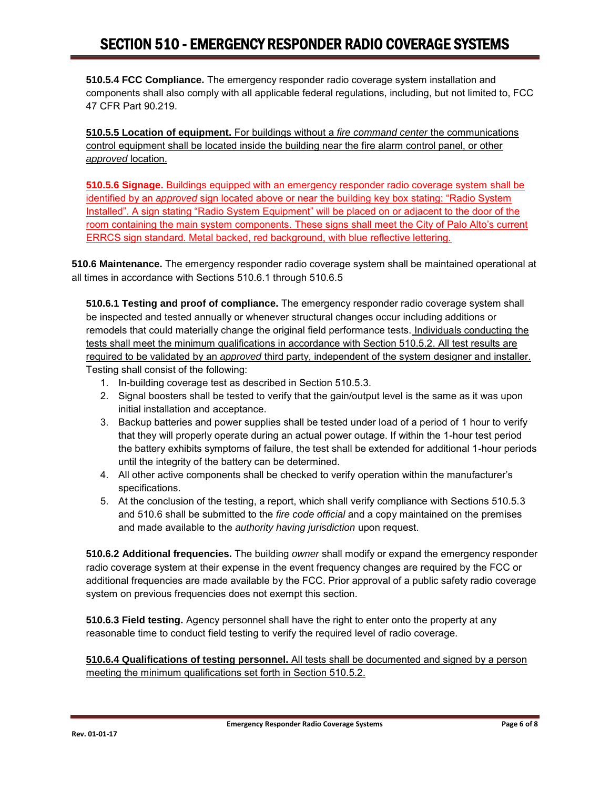**510.5.4 FCC Compliance.** The emergency responder radio coverage system installation and components shall also comply with all applicable federal regulations, including, but not limited to, FCC 47 CFR Part 90.219.

**510.5.5 Location of equipment.** For buildings without a *fire command center* the communications control equipment shall be located inside the building near the fire alarm control panel, or other *approved* location.

**510.5.6 Signage.** Buildings equipped with an emergency responder radio coverage system shall be identified by an *approved* sign located above or near the building key box stating: "Radio System Installed". A sign stating "Radio System Equipment" will be placed on or adjacent to the door of the room containing the main system components. These signs shall meet the City of Palo Alto's current ERRCS sign standard. Metal backed, red background, with blue reflective lettering.

**510.6 Maintenance.** The emergency responder radio coverage system shall be maintained operational at all times in accordance with Sections 510.6.1 through 510.6.5

**510.6.1 Testing and proof of compliance.** The emergency responder radio coverage system shall be inspected and tested annually or whenever structural changes occur including additions or remodels that could materially change the original field performance tests. Individuals conducting the tests shall meet the minimum qualifications in accordance with Section 510.5.2. All test results are required to be validated by an *approved* third party, independent of the system designer and installer. Testing shall consist of the following:

- 1. In-building coverage test as described in Section 510.5.3.
- 2. Signal boosters shall be tested to verify that the gain/output level is the same as it was upon initial installation and acceptance.
- 3. Backup batteries and power supplies shall be tested under load of a period of 1 hour to verify that they will properly operate during an actual power outage. If within the 1-hour test period the battery exhibits symptoms of failure, the test shall be extended for additional 1-hour periods until the integrity of the battery can be determined.
- 4. All other active components shall be checked to verify operation within the manufacturer's specifications.
- 5. At the conclusion of the testing, a report, which shall verify compliance with Sections 510.5.3 and 510.6 shall be submitted to the *fire code official* and a copy maintained on the premises and made available to the *authority having jurisdiction* upon request.

**510.6.2 Additional frequencies.** The building *owner* shall modify or expand the emergency responder radio coverage system at their expense in the event frequency changes are required by the FCC or additional frequencies are made available by the FCC. Prior approval of a public safety radio coverage system on previous frequencies does not exempt this section.

**510.6.3 Field testing.** Agency personnel shall have the right to enter onto the property at any reasonable time to conduct field testing to verify the required level of radio coverage.

**510.6.4 Qualifications of testing personnel.** All tests shall be documented and signed by a person meeting the minimum qualifications set forth in Section 510.5.2.